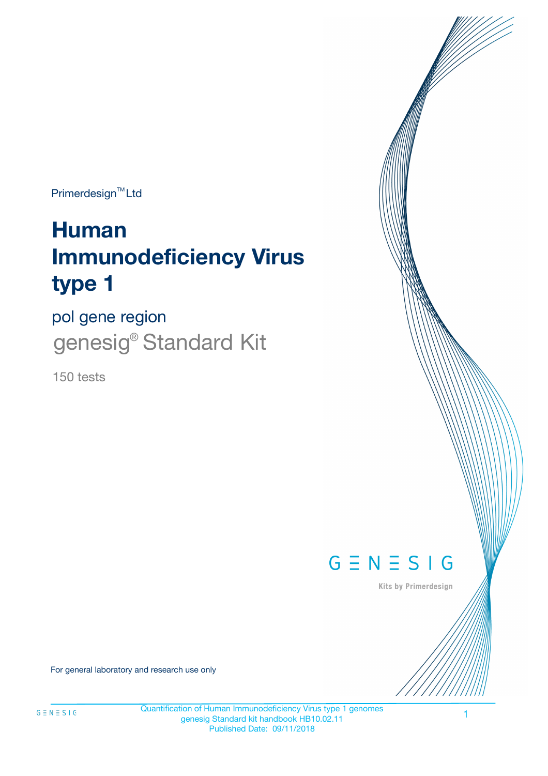Primerdesign<sup>™</sup>Ltd

# **Human Immunodeficiency Virus type 1**

pol gene region genesig<sup>®</sup> Standard Kit

150 tests



Kits by Primerdesign

For general laboratory and research use only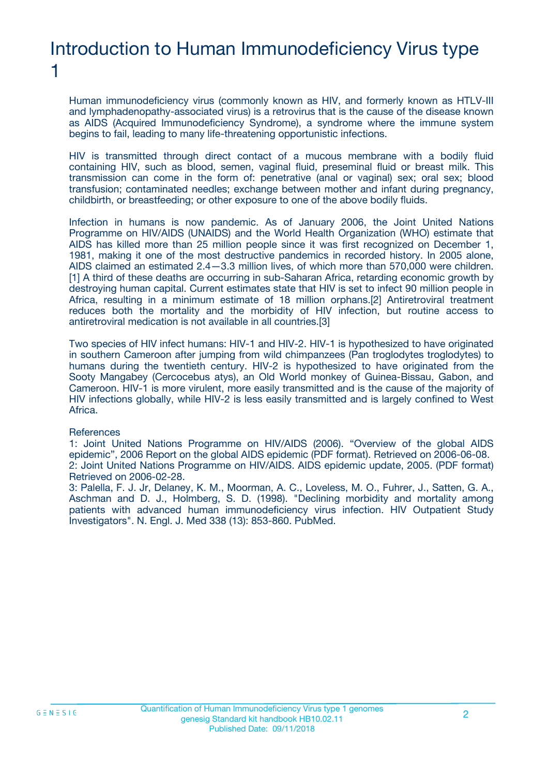### Introduction to Human Immunodeficiency Virus type 1

Human immunodeficiency virus (commonly known as HIV, and formerly known as HTLV-III and lymphadenopathy-associated virus) is a retrovirus that is the cause of the disease known as AIDS (Acquired Immunodeficiency Syndrome), a syndrome where the immune system begins to fail, leading to many life-threatening opportunistic infections.

HIV is transmitted through direct contact of a mucous membrane with a bodily fluid containing HIV, such as blood, semen, vaginal fluid, preseminal fluid or breast milk. This transmission can come in the form of: penetrative (anal or vaginal) sex; oral sex; blood transfusion; contaminated needles; exchange between mother and infant during pregnancy, childbirth, or breastfeeding; or other exposure to one of the above bodily fluids.

Infection in humans is now pandemic. As of January 2006, the Joint United Nations Programme on HIV/AIDS (UNAIDS) and the World Health Organization (WHO) estimate that AIDS has killed more than 25 million people since it was first recognized on December 1, 1981, making it one of the most destructive pandemics in recorded history. In 2005 alone, AIDS claimed an estimated 2.4—3.3 million lives, of which more than 570,000 were children. [1] A third of these deaths are occurring in sub-Saharan Africa, retarding economic growth by destroying human capital. Current estimates state that HIV is set to infect 90 million people in Africa, resulting in a minimum estimate of 18 million orphans.[2] Antiretroviral treatment reduces both the mortality and the morbidity of HIV infection, but routine access to antiretroviral medication is not available in all countries.[3]

Two species of HIV infect humans: HIV-1 and HIV-2. HIV-1 is hypothesized to have originated in southern Cameroon after jumping from wild chimpanzees (Pan troglodytes troglodytes) to humans during the twentieth century. HIV-2 is hypothesized to have originated from the Sooty Mangabey (Cercocebus atys), an Old World monkey of Guinea-Bissau, Gabon, and Cameroon. HIV-1 is more virulent, more easily transmitted and is the cause of the majority of HIV infections globally, while HIV-2 is less easily transmitted and is largely confined to West Africa.

#### **References**

1: Joint United Nations Programme on HIV/AIDS (2006). "Overview of the global AIDS epidemic", 2006 Report on the global AIDS epidemic (PDF format). Retrieved on 2006-06-08. 2: Joint United Nations Programme on HIV/AIDS. AIDS epidemic update, 2005. (PDF format) Retrieved on 2006-02-28.

3: Palella, F. J. Jr, Delaney, K. M., Moorman, A. C., Loveless, M. O., Fuhrer, J., Satten, G. A., Aschman and D. J., Holmberg, S. D. (1998). "Declining morbidity and mortality among patients with advanced human immunodeficiency virus infection. HIV Outpatient Study Investigators". N. Engl. J. Med 338 (13): 853-860. PubMed.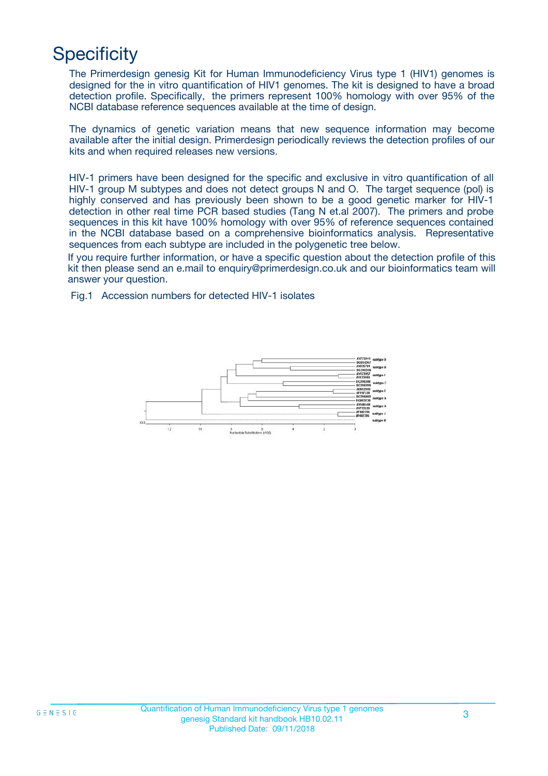# **Specificity**

The Primerdesign genesig Kit for Human Immunodeficiency Virus type 1 (HIV1) genomes is designed for the in vitro quantification of HIV1 genomes. The kit is designed to have a broad detection profile. Specifically, the primers represent 100% homology with over 95% of the NCBI database reference sequences available at the time of design.

The dynamics of genetic variation means that new sequence information may become available after the initial design. Primerdesign periodically reviews the detection profiles of our kits and when required releases new versions.

HIV-1 primers have been designed for the specific and exclusive in vitro quantification of all HIV-1 group M subtypes and does not detect groups N and O. The target sequence (pol) is highly conserved and has previously been shown to be a good genetic marker for HIV-1 detection in other real time PCR based studies (Tang N et.al 2007). The primers and probe sequences in this kit have 100% homology with over 95% of reference sequences contained in the NCBI database based on a comprehensive bioinformatics analysis. Representative sequences from each subtype are included in the polygenetic tree below.

If you require further information, or have a specific question about the detection profile of this kit then please send an e.mail to enquiry@primerdesign.co.uk and our bioinformatics team will answer your question.

Fig.1 Accession numbers for detected HIV-1 isolates

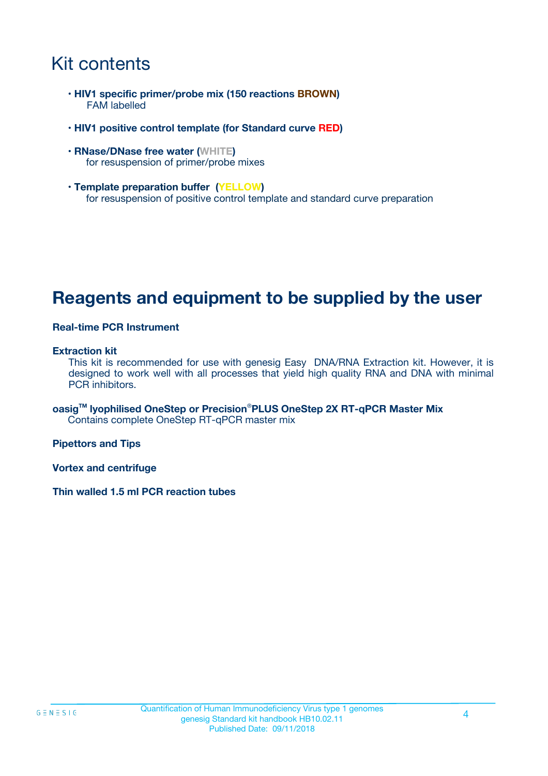### Kit contents

- **HIV1 specific primer/probe mix (150 reactions BROWN)** FAM labelled
- **HIV1 positive control template (for Standard curve RED)**
- **RNase/DNase free water (WHITE)** for resuspension of primer/probe mixes
- **Template preparation buffer (YELLOW)** for resuspension of positive control template and standard curve preparation

### **Reagents and equipment to be supplied by the user**

#### **Real-time PCR Instrument**

#### **Extraction kit**

This kit is recommended for use with genesig Easy DNA/RNA Extraction kit. However, it is designed to work well with all processes that yield high quality RNA and DNA with minimal PCR inhibitors.

**oasigTM lyophilised OneStep or Precision**®**PLUS OneStep 2X RT-qPCR Master Mix** Contains complete OneStep RT-qPCR master mix

**Pipettors and Tips**

**Vortex and centrifuge**

**Thin walled 1.5 ml PCR reaction tubes**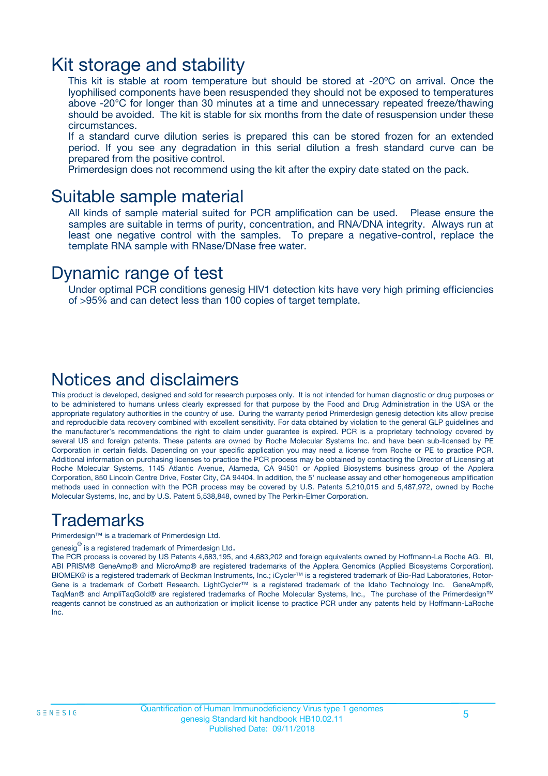### Kit storage and stability

This kit is stable at room temperature but should be stored at -20ºC on arrival. Once the lyophilised components have been resuspended they should not be exposed to temperatures above -20°C for longer than 30 minutes at a time and unnecessary repeated freeze/thawing should be avoided. The kit is stable for six months from the date of resuspension under these circumstances.

If a standard curve dilution series is prepared this can be stored frozen for an extended period. If you see any degradation in this serial dilution a fresh standard curve can be prepared from the positive control.

Primerdesign does not recommend using the kit after the expiry date stated on the pack.

### Suitable sample material

All kinds of sample material suited for PCR amplification can be used. Please ensure the samples are suitable in terms of purity, concentration, and RNA/DNA integrity. Always run at least one negative control with the samples. To prepare a negative-control, replace the template RNA sample with RNase/DNase free water.

### Dynamic range of test

Under optimal PCR conditions genesig HIV1 detection kits have very high priming efficiencies of >95% and can detect less than 100 copies of target template.

### Notices and disclaimers

This product is developed, designed and sold for research purposes only. It is not intended for human diagnostic or drug purposes or to be administered to humans unless clearly expressed for that purpose by the Food and Drug Administration in the USA or the appropriate regulatory authorities in the country of use. During the warranty period Primerdesign genesig detection kits allow precise and reproducible data recovery combined with excellent sensitivity. For data obtained by violation to the general GLP guidelines and the manufacturer's recommendations the right to claim under guarantee is expired. PCR is a proprietary technology covered by several US and foreign patents. These patents are owned by Roche Molecular Systems Inc. and have been sub-licensed by PE Corporation in certain fields. Depending on your specific application you may need a license from Roche or PE to practice PCR. Additional information on purchasing licenses to practice the PCR process may be obtained by contacting the Director of Licensing at Roche Molecular Systems, 1145 Atlantic Avenue, Alameda, CA 94501 or Applied Biosystems business group of the Applera Corporation, 850 Lincoln Centre Drive, Foster City, CA 94404. In addition, the 5' nuclease assay and other homogeneous amplification methods used in connection with the PCR process may be covered by U.S. Patents 5,210,015 and 5,487,972, owned by Roche Molecular Systems, Inc, and by U.S. Patent 5,538,848, owned by The Perkin-Elmer Corporation.

### Trademarks

Primerdesign™ is a trademark of Primerdesign Ltd.

genesig $^\circledR$  is a registered trademark of Primerdesign Ltd.

The PCR process is covered by US Patents 4,683,195, and 4,683,202 and foreign equivalents owned by Hoffmann-La Roche AG. BI, ABI PRISM® GeneAmp® and MicroAmp® are registered trademarks of the Applera Genomics (Applied Biosystems Corporation). BIOMEK® is a registered trademark of Beckman Instruments, Inc.; iCycler™ is a registered trademark of Bio-Rad Laboratories, Rotor-Gene is a trademark of Corbett Research. LightCycler™ is a registered trademark of the Idaho Technology Inc. GeneAmp®, TaqMan® and AmpliTaqGold® are registered trademarks of Roche Molecular Systems, Inc., The purchase of the Primerdesign™ reagents cannot be construed as an authorization or implicit license to practice PCR under any patents held by Hoffmann-LaRoche Inc.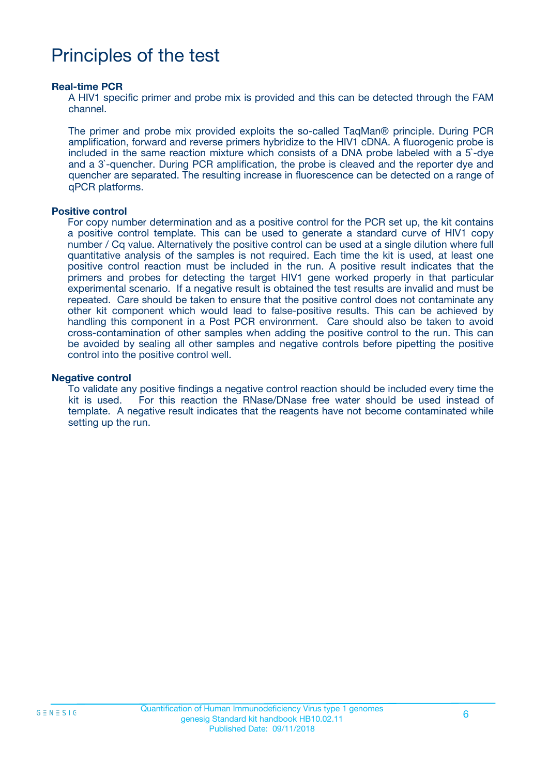## Principles of the test

#### **Real-time PCR**

A HIV1 specific primer and probe mix is provided and this can be detected through the FAM channel.

The primer and probe mix provided exploits the so-called TaqMan® principle. During PCR amplification, forward and reverse primers hybridize to the HIV1 cDNA. A fluorogenic probe is included in the same reaction mixture which consists of a DNA probe labeled with a 5`-dye and a 3`-quencher. During PCR amplification, the probe is cleaved and the reporter dye and quencher are separated. The resulting increase in fluorescence can be detected on a range of qPCR platforms.

#### **Positive control**

For copy number determination and as a positive control for the PCR set up, the kit contains a positive control template. This can be used to generate a standard curve of HIV1 copy number / Cq value. Alternatively the positive control can be used at a single dilution where full quantitative analysis of the samples is not required. Each time the kit is used, at least one positive control reaction must be included in the run. A positive result indicates that the primers and probes for detecting the target HIV1 gene worked properly in that particular experimental scenario. If a negative result is obtained the test results are invalid and must be repeated. Care should be taken to ensure that the positive control does not contaminate any other kit component which would lead to false-positive results. This can be achieved by handling this component in a Post PCR environment. Care should also be taken to avoid cross-contamination of other samples when adding the positive control to the run. This can be avoided by sealing all other samples and negative controls before pipetting the positive control into the positive control well.

#### **Negative control**

To validate any positive findings a negative control reaction should be included every time the kit is used. For this reaction the RNase/DNase free water should be used instead of template. A negative result indicates that the reagents have not become contaminated while setting up the run.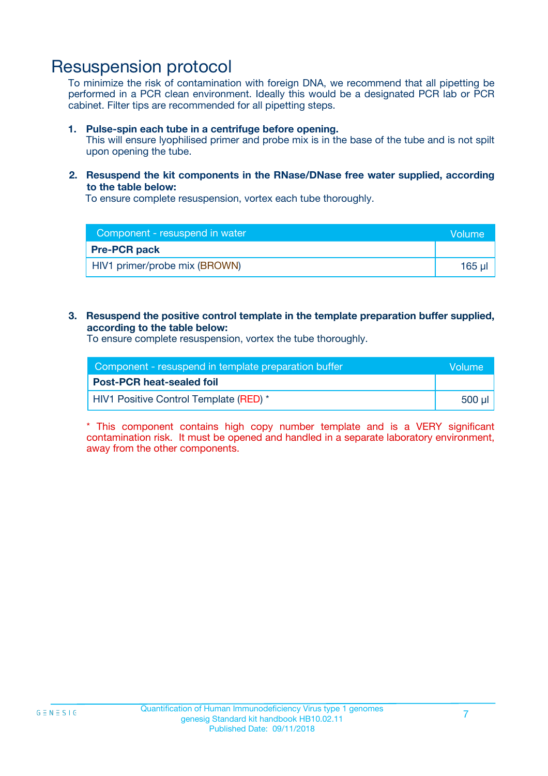### Resuspension protocol

To minimize the risk of contamination with foreign DNA, we recommend that all pipetting be performed in a PCR clean environment. Ideally this would be a designated PCR lab or PCR cabinet. Filter tips are recommended for all pipetting steps.

#### **1. Pulse-spin each tube in a centrifuge before opening.**

This will ensure lyophilised primer and probe mix is in the base of the tube and is not spilt upon opening the tube.

#### **2. Resuspend the kit components in the RNase/DNase free water supplied, according to the table below:**

To ensure complete resuspension, vortex each tube thoroughly.

| Component - resuspend in water | Volume      |
|--------------------------------|-------------|
| <b>Pre-PCR pack</b>            |             |
| HIV1 primer/probe mix (BROWN)  | $165$ $\mu$ |

#### **3. Resuspend the positive control template in the template preparation buffer supplied, according to the table below:**

To ensure complete resuspension, vortex the tube thoroughly.

| Component - resuspend in template preparation buffer |          |
|------------------------------------------------------|----------|
| <b>Post-PCR heat-sealed foil</b>                     |          |
| HIV1 Positive Control Template (RED) *               | ี 500 µl |

\* This component contains high copy number template and is a VERY significant contamination risk. It must be opened and handled in a separate laboratory environment, away from the other components.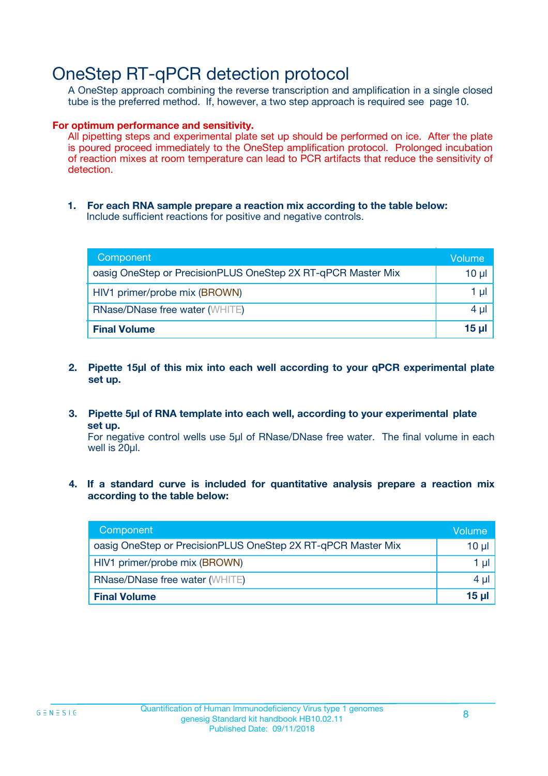### OneStep RT-qPCR detection protocol

A OneStep approach combining the reverse transcription and amplification in a single closed tube is the preferred method. If, however, a two step approach is required see page 10.

#### **For optimum performance and sensitivity.**

All pipetting steps and experimental plate set up should be performed on ice. After the plate is poured proceed immediately to the OneStep amplification protocol. Prolonged incubation of reaction mixes at room temperature can lead to PCR artifacts that reduce the sensitivity of detection.

**1. For each RNA sample prepare a reaction mix according to the table below:** Include sufficient reactions for positive and negative controls.

| Component                                                    | <b>Volume</b> |
|--------------------------------------------------------------|---------------|
| oasig OneStep or PrecisionPLUS OneStep 2X RT-qPCR Master Mix | 10 µl         |
| HIV1 primer/probe mix (BROWN)                                | 1 µI          |
| <b>RNase/DNase free water (WHITE)</b>                        | 4 µl          |
| <b>Final Volume</b>                                          | <u>15 µl</u>  |

- **2. Pipette 15µl of this mix into each well according to your qPCR experimental plate set up.**
- **3. Pipette 5µl of RNA template into each well, according to your experimental plate set up.**

For negative control wells use 5µl of RNase/DNase free water. The final volume in each well is 20ul.

**4. If a standard curve is included for quantitative analysis prepare a reaction mix according to the table below:**

| Component                                                    | Volume   |
|--------------------------------------------------------------|----------|
| oasig OneStep or PrecisionPLUS OneStep 2X RT-qPCR Master Mix | 10 µl    |
| HIV1 primer/probe mix (BROWN)                                | 1 ul     |
| <b>RNase/DNase free water (WHITE)</b>                        | $4 \mu$  |
| <b>Final Volume</b>                                          | $15 \mu$ |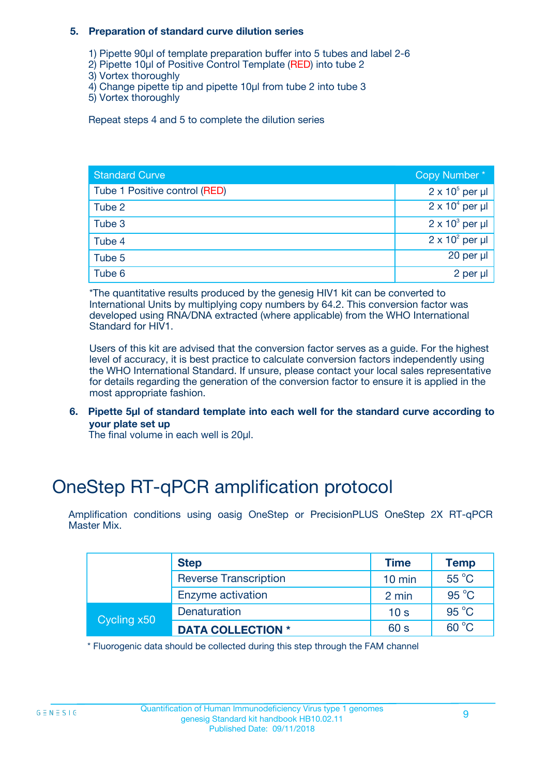#### **5. Preparation of standard curve dilution series**

- 1) Pipette 90µl of template preparation buffer into 5 tubes and label 2-6
- 2) Pipette 10µl of Positive Control Template (RED) into tube 2
- 3) Vortex thoroughly
- 4) Change pipette tip and pipette 10µl from tube 2 into tube 3
- 5) Vortex thoroughly

Repeat steps 4 and 5 to complete the dilution series

| <b>Standard Curve</b>         | Copy Number*           |
|-------------------------------|------------------------|
| Tube 1 Positive control (RED) | $2 \times 10^5$ per µl |
| Tube 2                        | $2 \times 10^4$ per µl |
| Tube 3                        | $2 \times 10^3$ per µl |
| Tube 4                        | $2 \times 10^2$ per µl |
| Tube 5                        | 20 per µl              |
| Tube 6                        | 2 per µl               |

\*The quantitative results produced by the genesig HIV1 kit can be converted to International Units by multiplying copy numbers by 64.2. This conversion factor was developed using RNA/DNA extracted (where applicable) from the WHO International Standard for HIV1.

Users of this kit are advised that the conversion factor serves as a guide. For the highest level of accuracy, it is best practice to calculate conversion factors independently using the WHO International Standard. If unsure, please contact your local sales representative for details regarding the generation of the conversion factor to ensure it is applied in the most appropriate fashion.

**6. Pipette 5µl of standard template into each well for the standard curve according to your plate set up**

The final volume in each well is 20ul.

# OneStep RT-qPCR amplification protocol

Amplification conditions using oasig OneStep or PrecisionPLUS OneStep 2X RT-qPCR Master Mix.

|             | <b>Step</b>                  | <b>Time</b>      | <b>Temp</b>    |
|-------------|------------------------------|------------------|----------------|
|             | <b>Reverse Transcription</b> | $10 \text{ min}$ | 55 °C          |
|             | Enzyme activation            | 2 min            | $95^{\circ}$ C |
| Cycling x50 | Denaturation                 | 10 <sub>s</sub>  | 95 °C          |
|             | <b>DATA COLLECTION *</b>     | 60 s             | $60^{\circ}$ C |

\* Fluorogenic data should be collected during this step through the FAM channel